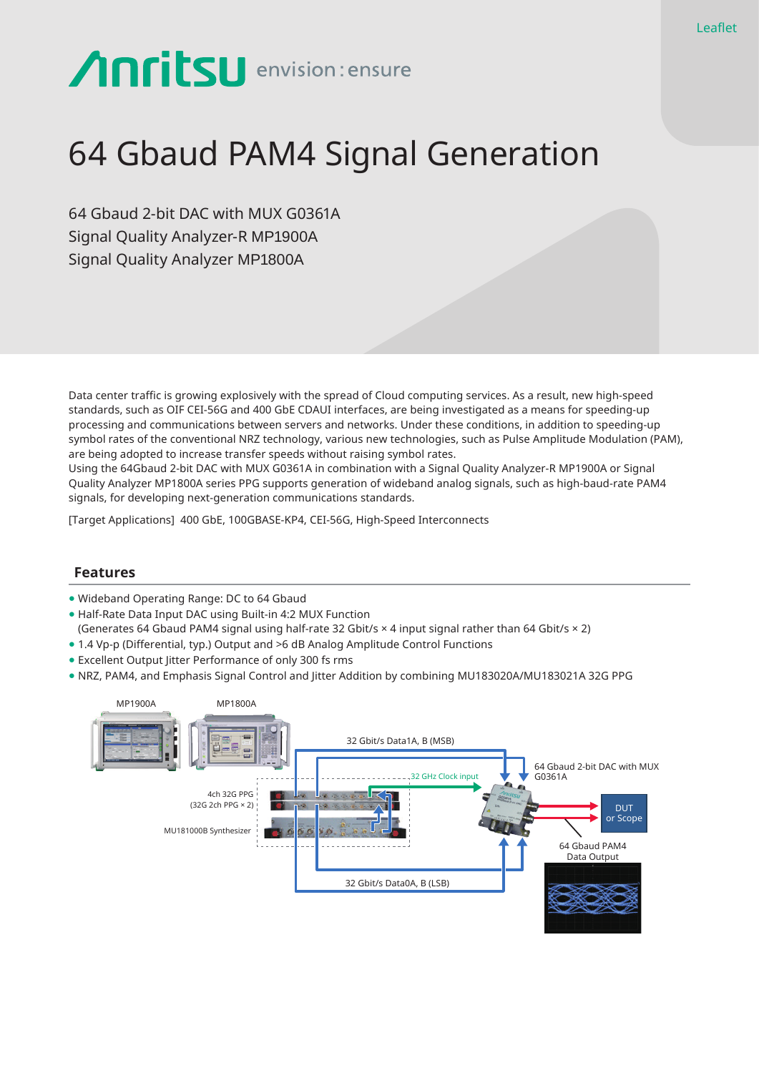# **Anritsu** envision: ensure

## 64 Gbaud PAM4 Signal Generation

64 Gbaud 2-bit DAC with MUX G0361A Signal Quality Analyzer-R MP1900A Signal Quality Analyzer MP1800A

Data center traffic is growing explosively with the spread of Cloud computing services. As a result, new high-speed standards, such as OIF CEI-56G and 400 GbE CDAUI interfaces, are being investigated as a means for speeding-up processing and communications between servers and networks. Under these conditions, in addition to speeding-up symbol rates of the conventional NRZ technology, various new technologies, such as Pulse Amplitude Modulation (PAM), are being adopted to increase transfer speeds without raising symbol rates.

Using the 64Gbaud 2-bit DAC with MUX G0361A in combination with a Signal Quality Analyzer-R MP1900A or Signal Quality Analyzer MP1800A series PPG supports generation of wideband analog signals, such as high-baud-rate PAM4 signals, for developing next-generation communications standards.

[Target Applications] 400 GbE, 100GBASE-KP4, CEI-56G, High-Speed Interconnects

#### **Features**

- Wideband Operating Range: DC to 64 Gbaud
- Half-Rate Data Input DAC using Built-in 4:2 MUX Function
- (Generates 64 Gbaud PAM4 signal using half-rate 32 Gbit/s × 4 input signal rather than 64 Gbit/s × 2)
- 1.4 Vp-p (Differential, typ.) Output and >6 dB Analog Amplitude Control Functions
- Excellent Output Jitter Performance of only 300 fs rms
- NRZ, PAM4, and Emphasis Signal Control and Jitter Addition by combining MU183020A/MU183021A 32G PPG